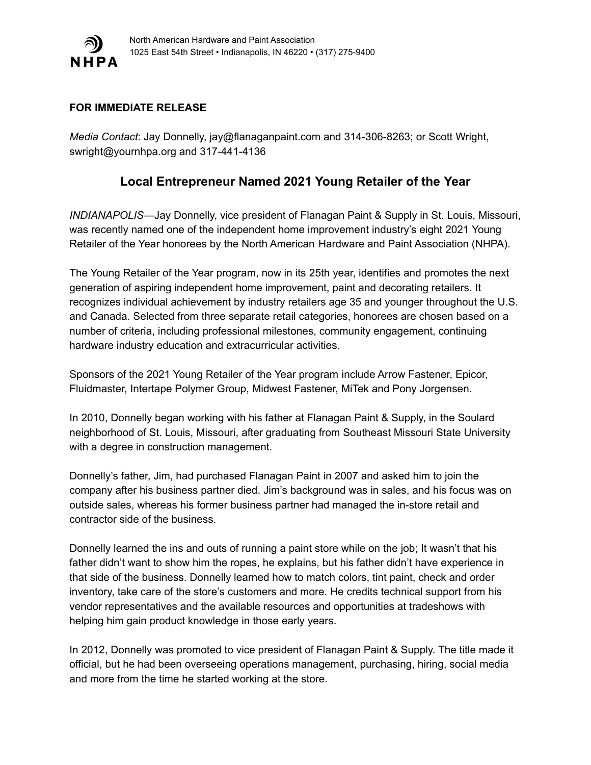

## **FOR IMMEDIATE RELEASE**

*Media Contact*: Jay Donnelly, jay@flanaganpaint.com and 314-306-8263; or Scott Wright, swright@yournhpa.org and 317-441-4136

## **Local Entrepreneur Named 2021 Young Retailer of the Year**

*INDIANAPOLIS*—Jay Donnelly, vice president of Flanagan Paint & Supply in St. Louis, Missouri, was recently named one of the independent home improvement industry's eight 2021 Young Retailer of the Year honorees by the North American Hardware and Paint Association (NHPA).

The Young Retailer of the Year program, now in its 25th year, identifies and promotes the next generation of aspiring independent home improvement, paint and decorating retailers. It recognizes individual achievement by industry retailers age 35 and younger throughout the U.S. and Canada. Selected from three separate retail categories, honorees are chosen based on a number of criteria, including professional milestones, community engagement, continuing hardware industry education and extracurricular activities.

Sponsors of the 2021 Young Retailer of the Year program include Arrow Fastener, Epicor, Fluidmaster, Intertape Polymer Group, Midwest Fastener, MiTek and Pony Jorgensen.

In 2010, Donnelly began working with his father at Flanagan Paint & Supply, in the Soulard neighborhood of St. Louis, Missouri, after graduating from Southeast Missouri State University with a degree in construction management.

Donnelly's father, Jim, had purchased Flanagan Paint in 2007 and asked him to join the company after his business partner died. Jim's background was in sales, and his focus was on outside sales, whereas his former business partner had managed the in-store retail and contractor side of the business.

Donnelly learned the ins and outs of running a paint store while on the job; It wasn't that his father didn't want to show him the ropes, he explains, but his father didn't have experience in that side of the business. Donnelly learned how to match colors, tint paint, check and order inventory, take care of the store's customers and more. He credits technical support from his vendor representatives and the available resources and opportunities at tradeshows with helping him gain product knowledge in those early years.

In 2012, Donnelly was promoted to vice president of Flanagan Paint & Supply. The title made it official, but he had been overseeing operations management, purchasing, hiring, social media and more from the time he started working at the store.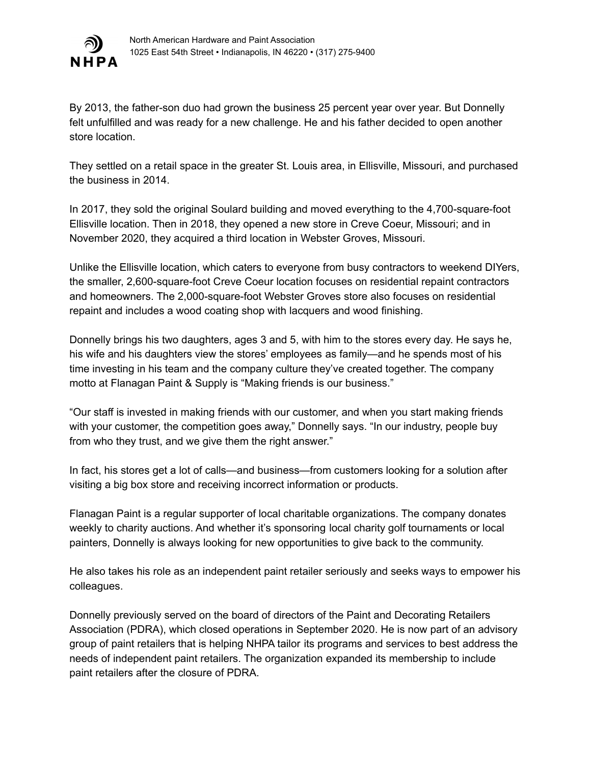

By 2013, the father-son duo had grown the business 25 percent year over year. But Donnelly felt unfulfilled and was ready for a new challenge. He and his father decided to open another store location.

They settled on a retail space in the greater St. Louis area, in Ellisville, Missouri, and purchased the business in 2014.

In 2017, they sold the original Soulard building and moved everything to the 4,700-square-foot Ellisville location. Then in 2018, they opened a new store in Creve Coeur, Missouri; and in November 2020, they acquired a third location in Webster Groves, Missouri.

Unlike the Ellisville location, which caters to everyone from busy contractors to weekend DIYers, the smaller, 2,600-square-foot Creve Coeur location focuses on residential repaint contractors and homeowners. The 2,000-square-foot Webster Groves store also focuses on residential repaint and includes a wood coating shop with lacquers and wood finishing.

Donnelly brings his two daughters, ages 3 and 5, with him to the stores every day. He says he, his wife and his daughters view the stores' employees as family—and he spends most of his time investing in his team and the company culture they've created together. The company motto at Flanagan Paint & Supply is "Making friends is our business."

"Our staff is invested in making friends with our customer, and when you start making friends with your customer, the competition goes away," Donnelly says. "In our industry, people buy from who they trust, and we give them the right answer."

In fact, his stores get a lot of calls—and business—from customers looking for a solution after visiting a big box store and receiving incorrect information or products.

Flanagan Paint is a regular supporter of local charitable organizations. The company donates weekly to charity auctions. And whether it's sponsoring local charity golf tournaments or local painters, Donnelly is always looking for new opportunities to give back to the community.

He also takes his role as an independent paint retailer seriously and seeks ways to empower his colleagues.

Donnelly previously served on the board of directors of the Paint and Decorating Retailers Association (PDRA), which closed operations in September 2020. He is now part of an advisory group of paint retailers that is helping NHPA tailor its programs and services to best address the needs of independent paint retailers. The organization expanded its membership to include paint retailers after the closure of PDRA.